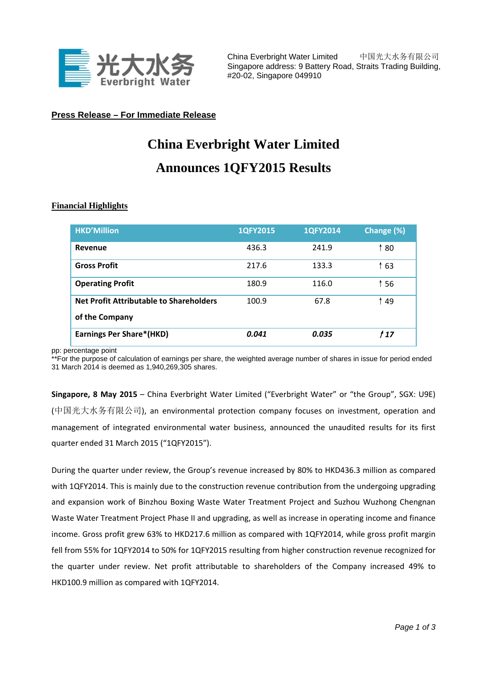

China Everbright Water Limited 中国光大水务有限公司 Singapore address: 9 Battery Road, Straits Trading Building, #20-02, Singapore 049910

## **Press Release – For Immediate Release**

## **China Everbright Water Limited Announces 1QFY2015 Results**

## **Financial Highlights**

| <b>HKD'Million</b>                                        | 1QFY2015 | 1QFY2014 | Change (%) |
|-----------------------------------------------------------|----------|----------|------------|
| Revenue                                                   | 436.3    | 241.9    | ↑80        |
| <b>Gross Profit</b>                                       | 217.6    | 133.3    | ↑ 63       |
| <b>Operating Profit</b>                                   | 180.9    | 116.0    | ↑ 56       |
| Net Profit Attributable to Shareholders<br>of the Company | 100.9    | 67.8     | ↑49        |
|                                                           |          |          |            |
| <b>Earnings Per Share*(HKD)</b>                           | 0.041    | 0.035    | 1 1 7      |

pp: percentage point

\*\*For the purpose of calculation of earnings per share, the weighted average number of shares in issue for period ended 31 March 2014 is deemed as 1,940,269,305 shares.

**Singapore, 8 May 2015** – China Everbright Water Limited ("Everbright Water" or "the Group", SGX: U9E) (中国光大水务有限公司), an environmental protection company focuses on investment, operation and management of integrated environmental water business, announced the unaudited results for its first quarter ended 31 March 2015 ("1QFY2015").

During the quarter under review, the Group's revenue increased by 80% to HKD436.3 million as compared with 1QFY2014. This is mainly due to the construction revenue contribution from the undergoing upgrading and expansion work of Binzhou Boxing Waste Water Treatment Project and Suzhou Wuzhong Chengnan Waste Water Treatment Project Phase II and upgrading, as well as increase in operating income and finance income. Gross profit grew 63% to HKD217.6 million as compared with 1QFY2014, while gross profit margin fell from 55% for 1QFY2014 to 50% for 1QFY2015 resulting from higher construction revenue recognized for the quarter under review. Net profit attributable to shareholders of the Company increased 49% to HKD100.9 million as compared with 1QFY2014.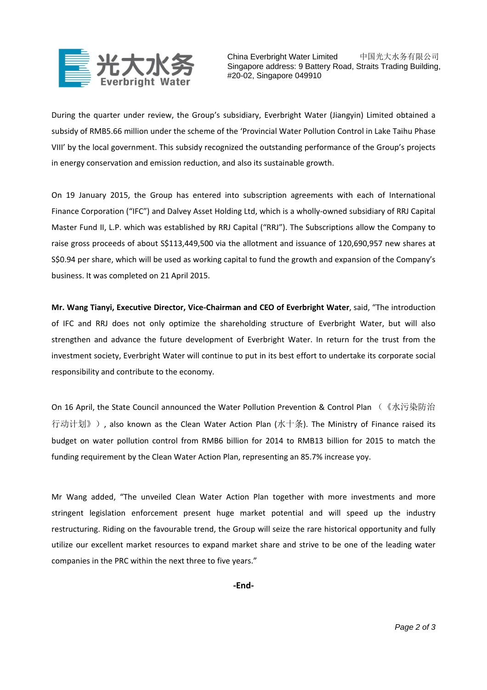

China Everbright Water Limited 中国光大水务有限公司 Singapore address: 9 Battery Road, Straits Trading Building, #20-02, Singapore 049910

During the quarter under review, the Group's subsidiary, Everbright Water (Jiangyin) Limited obtained a subsidy of RMB5.66 million under the scheme of the 'Provincial Water Pollution Control in Lake Taihu Phase VIII' by the local government. This subsidy recognized the outstanding performance of the Group's projects in energy conservation and emission reduction, and also its sustainable growth.

On 19 January 2015, the Group has entered into subscription agreements with each of International Finance Corporation ("IFC") and Dalvey Asset Holding Ltd, which is a wholly‐owned subsidiary of RRJ Capital Master Fund II, L.P. which was established by RRJ Capital ("RRJ"). The Subscriptions allow the Company to raise gross proceeds of about S\$113,449,500 via the allotment and issuance of 120,690,957 new shares at S\$0.94 per share, which will be used as working capital to fund the growth and expansion of the Company's business. It was completed on 21 April 2015.

**Mr. Wang Tianyi, Executive Director, Vice‐Chairman and CEO of Everbright Water**, said, "The introduction of IFC and RRJ does not only optimize the shareholding structure of Everbright Water, but will also strengthen and advance the future development of Everbright Water. In return for the trust from the investment society, Everbright Water will continue to put in its best effort to undertake its corporate social responsibility and contribute to the economy.

On 16 April, the State Council announced the Water Pollution Prevention & Control Plan (《水污染防治 行动计划》), also known as the Clean Water Action Plan (水十条). The Ministry of Finance raised its budget on water pollution control from RMB6 billion for 2014 to RMB13 billion for 2015 to match the funding requirement by the Clean Water Action Plan, representing an 85.7% increase yoy.

Mr Wang added, "The unveiled Clean Water Action Plan together with more investments and more stringent legislation enforcement present huge market potential and will speed up the industry restructuring. Riding on the favourable trend, the Group will seize the rare historical opportunity and fully utilize our excellent market resources to expand market share and strive to be one of the leading water companies in the PRC within the next three to five years."

**‐End‐**